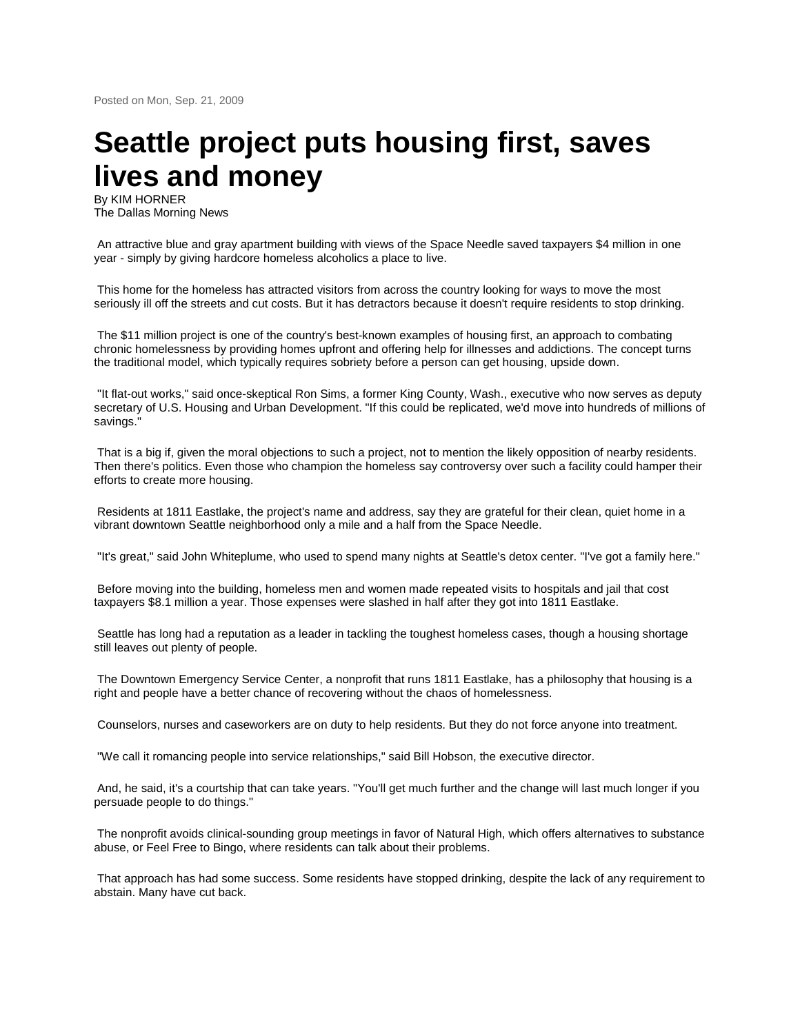## **Seattle project puts housing first, saves lives and money**

By KIM HORNER The Dallas Morning News

An attractive blue and gray apartment building with views of the Space Needle saved taxpayers \$4 million in one year - simply by giving hardcore homeless alcoholics a place to live.

This home for the homeless has attracted visitors from across the country looking for ways to move the most seriously ill off the streets and cut costs. But it has detractors because it doesn't require residents to stop drinking.

The \$11 million project is one of the country's best-known examples of housing first, an approach to combating chronic homelessness by providing homes upfront and offering help for illnesses and addictions. The concept turns the traditional model, which typically requires sobriety before a person can get housing, upside down.

"It flat-out works," said once-skeptical Ron Sims, a former King County, Wash., executive who now serves as deputy secretary of U.S. Housing and Urban Development. "If this could be replicated, we'd move into hundreds of millions of savings."

That is a big if, given the moral objections to such a project, not to mention the likely opposition of nearby residents. Then there's politics. Even those who champion the homeless say controversy over such a facility could hamper their efforts to create more housing.

Residents at 1811 Eastlake, the project's name and address, say they are grateful for their clean, quiet home in a vibrant downtown Seattle neighborhood only a mile and a half from the Space Needle.

"It's great," said John Whiteplume, who used to spend many nights at Seattle's detox center. "I've got a family here."

Before moving into the building, homeless men and women made repeated visits to hospitals and jail that cost taxpayers \$8.1 million a year. Those expenses were slashed in half after they got into 1811 Eastlake.

Seattle has long had a reputation as a leader in tackling the toughest homeless cases, though a housing shortage still leaves out plenty of people.

The Downtown Emergency Service Center, a nonprofit that runs 1811 Eastlake, has a philosophy that housing is a right and people have a better chance of recovering without the chaos of homelessness.

Counselors, nurses and caseworkers are on duty to help residents. But they do not force anyone into treatment.

"We call it romancing people into service relationships," said Bill Hobson, the executive director.

And, he said, it's a courtship that can take years. "You'll get much further and the change will last much longer if you persuade people to do things."

The nonprofit avoids clinical-sounding group meetings in favor of Natural High, which offers alternatives to substance abuse, or Feel Free to Bingo, where residents can talk about their problems.

That approach has had some success. Some residents have stopped drinking, despite the lack of any requirement to abstain. Many have cut back.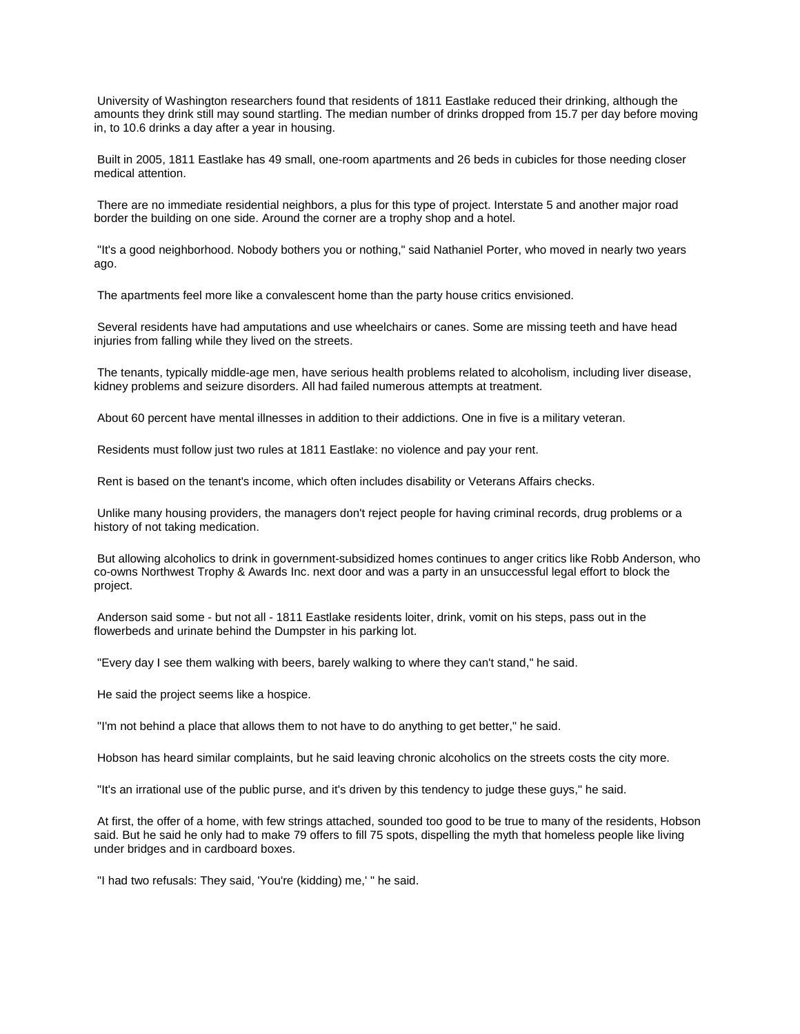University of Washington researchers found that residents of 1811 Eastlake reduced their drinking, although the amounts they drink still may sound startling. The median number of drinks dropped from 15.7 per day before moving in, to 10.6 drinks a day after a year in housing.

Built in 2005, 1811 Eastlake has 49 small, one-room apartments and 26 beds in cubicles for those needing closer medical attention.

There are no immediate residential neighbors, a plus for this type of project. Interstate 5 and another major road border the building on one side. Around the corner are a trophy shop and a hotel.

"It's a good neighborhood. Nobody bothers you or nothing," said Nathaniel Porter, who moved in nearly two years ago.

The apartments feel more like a convalescent home than the party house critics envisioned.

Several residents have had amputations and use wheelchairs or canes. Some are missing teeth and have head injuries from falling while they lived on the streets.

The tenants, typically middle-age men, have serious health problems related to alcoholism, including liver disease, kidney problems and seizure disorders. All had failed numerous attempts at treatment.

About 60 percent have mental illnesses in addition to their addictions. One in five is a military veteran.

Residents must follow just two rules at 1811 Eastlake: no violence and pay your rent.

Rent is based on the tenant's income, which often includes disability or Veterans Affairs checks.

Unlike many housing providers, the managers don't reject people for having criminal records, drug problems or a history of not taking medication.

But allowing alcoholics to drink in government-subsidized homes continues to anger critics like Robb Anderson, who co-owns Northwest Trophy & Awards Inc. next door and was a party in an unsuccessful legal effort to block the project.

Anderson said some - but not all - 1811 Eastlake residents loiter, drink, vomit on his steps, pass out in the flowerbeds and urinate behind the Dumpster in his parking lot.

"Every day I see them walking with beers, barely walking to where they can't stand," he said.

He said the project seems like a hospice.

"I'm not behind a place that allows them to not have to do anything to get better," he said.

Hobson has heard similar complaints, but he said leaving chronic alcoholics on the streets costs the city more.

"It's an irrational use of the public purse, and it's driven by this tendency to judge these guys," he said.

At first, the offer of a home, with few strings attached, sounded too good to be true to many of the residents, Hobson said. But he said he only had to make 79 offers to fill 75 spots, dispelling the myth that homeless people like living under bridges and in cardboard boxes.

"I had two refusals: They said, 'You're (kidding) me,' " he said.